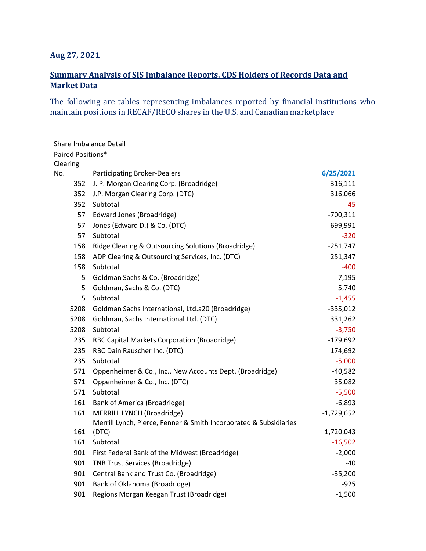## **Aug 27, 2021**

## **Summary Analysis of SIS Imbalance Reports, CDS Holders of Records Data and Market Data**

The following are tables representing imbalances reported by financial institutions who maintain positions in RECAF/RECO shares in the U.S. and Canadian marketplace

|                   | Share Imbalance Detail                                            |              |
|-------------------|-------------------------------------------------------------------|--------------|
| Paired Positions* |                                                                   |              |
| Clearing          |                                                                   |              |
| No.               | <b>Participating Broker-Dealers</b>                               | 6/25/2021    |
| 352               | J. P. Morgan Clearing Corp. (Broadridge)                          | $-316,111$   |
| 352               | J.P. Morgan Clearing Corp. (DTC)                                  | 316,066      |
| 352               | Subtotal                                                          | -45          |
| 57                | Edward Jones (Broadridge)                                         | $-700,311$   |
| 57                | Jones (Edward D.) & Co. (DTC)                                     | 699,991      |
| 57                | Subtotal                                                          | $-320$       |
| 158               | Ridge Clearing & Outsourcing Solutions (Broadridge)               | $-251,747$   |
| 158               | ADP Clearing & Outsourcing Services, Inc. (DTC)                   | 251,347      |
| 158               | Subtotal                                                          | $-400$       |
| 5                 | Goldman Sachs & Co. (Broadridge)                                  | $-7,195$     |
| 5                 | Goldman, Sachs & Co. (DTC)                                        | 5,740        |
| 5                 | Subtotal                                                          | $-1,455$     |
| 5208              | Goldman Sachs International, Ltd.a20 (Broadridge)                 | $-335,012$   |
| 5208              | Goldman, Sachs International Ltd. (DTC)                           | 331,262      |
| 5208              | Subtotal                                                          | $-3,750$     |
| 235               | RBC Capital Markets Corporation (Broadridge)                      | $-179,692$   |
| 235               | RBC Dain Rauscher Inc. (DTC)                                      | 174,692      |
| 235               | Subtotal                                                          | $-5,000$     |
| 571               | Oppenheimer & Co., Inc., New Accounts Dept. (Broadridge)          | $-40,582$    |
| 571               | Oppenheimer & Co., Inc. (DTC)                                     | 35,082       |
| 571               | Subtotal                                                          | $-5,500$     |
| 161               | <b>Bank of America (Broadridge)</b>                               | $-6,893$     |
| 161               | MERRILL LYNCH (Broadridge)                                        | $-1,729,652$ |
|                   | Merrill Lynch, Pierce, Fenner & Smith Incorporated & Subsidiaries |              |
| 161               | (DTC)                                                             | 1,720,043    |
| 161               | Subtotal                                                          | $-16,502$    |
| 901               | First Federal Bank of the Midwest (Broadridge)                    | $-2,000$     |
| 901               | <b>TNB Trust Services (Broadridge)</b>                            | -40          |
| 901               | Central Bank and Trust Co. (Broadridge)                           | $-35,200$    |
| 901               | Bank of Oklahoma (Broadridge)                                     | $-925$       |
| 901               | Regions Morgan Keegan Trust (Broadridge)                          | $-1,500$     |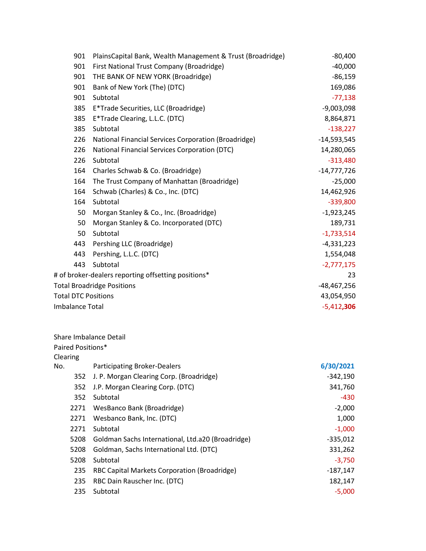|     | 901                    | PlainsCapital Bank, Wealth Management & Trust (Broadridge) | $-80,400$     |
|-----|------------------------|------------------------------------------------------------|---------------|
|     | 901                    | First National Trust Company (Broadridge)                  | $-40,000$     |
|     | 901                    | THE BANK OF NEW YORK (Broadridge)                          | $-86,159$     |
|     | 901                    | Bank of New York (The) (DTC)                               | 169,086       |
|     | 901                    | Subtotal                                                   | $-77,138$     |
|     | 385                    | E*Trade Securities, LLC (Broadridge)                       | $-9,003,098$  |
|     | 385                    | E*Trade Clearing, L.L.C. (DTC)                             | 8,864,871     |
|     | 385                    | Subtotal                                                   | $-138,227$    |
|     | 226                    | National Financial Services Corporation (Broadridge)       | $-14,593,545$ |
|     | 226                    | National Financial Services Corporation (DTC)              | 14,280,065    |
|     | 226                    | Subtotal                                                   | $-313,480$    |
|     | 164                    | Charles Schwab & Co. (Broadridge)                          | $-14,777,726$ |
|     | 164                    | The Trust Company of Manhattan (Broadridge)                | $-25,000$     |
|     | 164                    | Schwab (Charles) & Co., Inc. (DTC)                         | 14,462,926    |
|     | 164                    | Subtotal                                                   | $-339,800$    |
|     | 50                     | Morgan Stanley & Co., Inc. (Broadridge)                    | $-1,923,245$  |
|     | 50                     | Morgan Stanley & Co. Incorporated (DTC)                    | 189,731       |
|     | 50                     | Subtotal                                                   | $-1,733,514$  |
|     | 443                    | Pershing LLC (Broadridge)                                  | $-4,331,223$  |
|     | 443                    | Pershing, L.L.C. (DTC)                                     | 1,554,048     |
|     | 443                    | Subtotal                                                   | $-2,777,175$  |
|     |                        | # of broker-dealers reporting offsetting positions*        | 23            |
|     |                        | <b>Total Broadridge Positions</b>                          | -48,467,256   |
|     |                        | <b>Total DTC Positions</b>                                 | 43,054,950    |
|     | <b>Imbalance Total</b> |                                                            | $-5,412,306$  |
|     |                        | Share Imbalance Detail                                     |               |
|     | Paired Positions*      |                                                            |               |
|     | Clearing               |                                                            |               |
| No. |                        | <b>Participating Broker-Dealers</b>                        | 6/30/2021     |
|     | 352                    | J. P. Morgan Clearing Corp. (Broadridge)                   | $-342,190$    |
|     | 352                    | J.P. Morgan Clearing Corp. (DTC)                           | 341,760       |
|     | 352                    | Subtotal                                                   | $-430$        |
|     | 2271                   | WesBanco Bank (Broadridge)                                 | $-2,000$      |
|     | 2271                   | Wesbanco Bank, Inc. (DTC)                                  | 1,000         |
|     | 2271                   | Subtotal                                                   | $-1,000$      |
|     | 5208                   | Goldman Sachs International, Ltd.a20 (Broadridge)          | $-335,012$    |
|     | 5208                   | Goldman, Sachs International Ltd. (DTC)                    | 331,262       |
|     | 5208                   | Subtotal                                                   | $-3,750$      |
|     | 235                    | RBC Capital Markets Corporation (Broadridge)               | $-187,147$    |
|     | 235                    | RBC Dain Rauscher Inc. (DTC)                               | 182,147       |
|     | 235                    | Subtotal                                                   | $-5,000$      |
|     |                        |                                                            |               |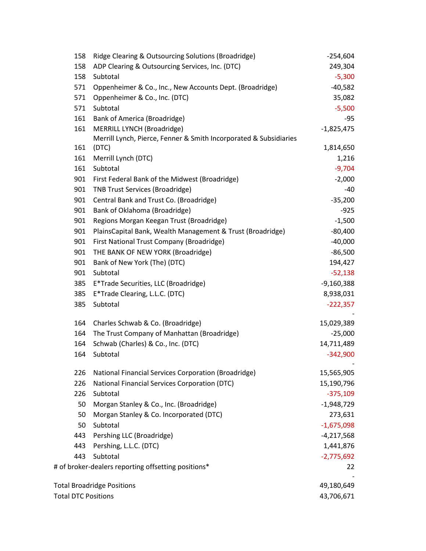| 158                        | Ridge Clearing & Outsourcing Solutions (Broadridge)               | $-254,604$   |
|----------------------------|-------------------------------------------------------------------|--------------|
| 158                        | ADP Clearing & Outsourcing Services, Inc. (DTC)                   | 249,304      |
| 158                        | Subtotal                                                          | $-5,300$     |
| 571                        | Oppenheimer & Co., Inc., New Accounts Dept. (Broadridge)          | $-40,582$    |
| 571                        | Oppenheimer & Co., Inc. (DTC)                                     | 35,082       |
| 571                        | Subtotal                                                          | $-5,500$     |
| 161                        | <b>Bank of America (Broadridge)</b>                               | $-95$        |
| 161                        | MERRILL LYNCH (Broadridge)                                        | $-1,825,475$ |
|                            | Merrill Lynch, Pierce, Fenner & Smith Incorporated & Subsidiaries |              |
| 161                        | (DTC)                                                             | 1,814,650    |
| 161                        | Merrill Lynch (DTC)                                               | 1,216        |
| 161                        | Subtotal                                                          | $-9,704$     |
| 901                        | First Federal Bank of the Midwest (Broadridge)                    | $-2,000$     |
| 901                        | <b>TNB Trust Services (Broadridge)</b>                            | -40          |
| 901                        | Central Bank and Trust Co. (Broadridge)                           | $-35,200$    |
| 901                        | Bank of Oklahoma (Broadridge)                                     | $-925$       |
| 901                        | Regions Morgan Keegan Trust (Broadridge)                          | $-1,500$     |
| 901                        | PlainsCapital Bank, Wealth Management & Trust (Broadridge)        | $-80,400$    |
| 901                        | First National Trust Company (Broadridge)                         | $-40,000$    |
| 901                        | THE BANK OF NEW YORK (Broadridge)                                 | $-86,500$    |
| 901                        | Bank of New York (The) (DTC)                                      | 194,427      |
| 901                        | Subtotal                                                          | $-52,138$    |
| 385                        | E*Trade Securities, LLC (Broadridge)                              | $-9,160,388$ |
| 385                        | E*Trade Clearing, L.L.C. (DTC)                                    | 8,938,031    |
| 385                        | Subtotal                                                          | $-222,357$   |
| 164                        | Charles Schwab & Co. (Broadridge)                                 | 15,029,389   |
| 164                        | The Trust Company of Manhattan (Broadridge)                       | $-25,000$    |
| 164                        | Schwab (Charles) & Co., Inc. (DTC)                                | 14,711,489   |
| 164                        | Subtotal                                                          | $-342,900$   |
| 226                        | National Financial Services Corporation (Broadridge)              | 15,565,905   |
| 226                        | <b>National Financial Services Corporation (DTC)</b>              | 15,190,796   |
| 226                        | Subtotal                                                          | $-375,109$   |
| 50                         | Morgan Stanley & Co., Inc. (Broadridge)                           | $-1,948,729$ |
| 50                         | Morgan Stanley & Co. Incorporated (DTC)                           | 273,631      |
| 50                         | Subtotal                                                          | $-1,675,098$ |
| 443                        | Pershing LLC (Broadridge)                                         | $-4,217,568$ |
| 443                        | Pershing, L.L.C. (DTC)                                            | 1,441,876    |
| 443                        | Subtotal                                                          | $-2,775,692$ |
|                            | # of broker-dealers reporting offsetting positions*               | 22           |
|                            | <b>Total Broadridge Positions</b>                                 | 49,180,649   |
| <b>Total DTC Positions</b> |                                                                   | 43,706,671   |
|                            |                                                                   |              |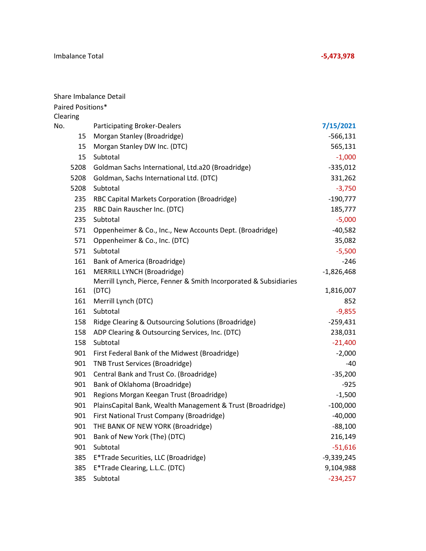|                   | Share Imbalance Detail                                            |              |
|-------------------|-------------------------------------------------------------------|--------------|
| Paired Positions* |                                                                   |              |
| Clearing          |                                                                   |              |
| No.               | <b>Participating Broker-Dealers</b>                               | 7/15/2021    |
| 15                | Morgan Stanley (Broadridge)                                       | $-566,131$   |
| 15                | Morgan Stanley DW Inc. (DTC)                                      | 565,131      |
| 15                | Subtotal                                                          | $-1,000$     |
| 5208              | Goldman Sachs International, Ltd.a20 (Broadridge)                 | $-335,012$   |
| 5208              | Goldman, Sachs International Ltd. (DTC)                           | 331,262      |
| 5208              | Subtotal                                                          | $-3,750$     |
| 235               | RBC Capital Markets Corporation (Broadridge)                      | $-190,777$   |
| 235               | RBC Dain Rauscher Inc. (DTC)                                      | 185,777      |
| 235               | Subtotal                                                          | $-5,000$     |
| 571               | Oppenheimer & Co., Inc., New Accounts Dept. (Broadridge)          | $-40,582$    |
| 571               | Oppenheimer & Co., Inc. (DTC)                                     | 35,082       |
| 571               | Subtotal                                                          | $-5,500$     |
| 161               | Bank of America (Broadridge)                                      | $-246$       |
| 161               | MERRILL LYNCH (Broadridge)                                        | $-1,826,468$ |
|                   | Merrill Lynch, Pierce, Fenner & Smith Incorporated & Subsidiaries |              |
| 161               | (DTC)                                                             | 1,816,007    |
| 161               | Merrill Lynch (DTC)                                               | 852          |
| 161               | Subtotal                                                          | $-9,855$     |
| 158               | Ridge Clearing & Outsourcing Solutions (Broadridge)               | $-259,431$   |
| 158               | ADP Clearing & Outsourcing Services, Inc. (DTC)                   | 238,031      |
| 158               | Subtotal                                                          | $-21,400$    |
| 901               | First Federal Bank of the Midwest (Broadridge)                    | $-2,000$     |
| 901               | <b>TNB Trust Services (Broadridge)</b>                            | -40          |
| 901               | Central Bank and Trust Co. (Broadridge)                           | $-35,200$    |
| 901               | Bank of Oklahoma (Broadridge)                                     | $-925$       |
| 901               | Regions Morgan Keegan Trust (Broadridge)                          | $-1,500$     |
| 901               | PlainsCapital Bank, Wealth Management & Trust (Broadridge)        | $-100,000$   |
| 901               | First National Trust Company (Broadridge)                         | $-40,000$    |
| 901               | THE BANK OF NEW YORK (Broadridge)                                 | $-88,100$    |
| 901               | Bank of New York (The) (DTC)                                      | 216,149      |
| 901               | Subtotal                                                          | $-51,616$    |
| 385               | E*Trade Securities, LLC (Broadridge)                              | $-9,339,245$ |
| 385               | E*Trade Clearing, L.L.C. (DTC)                                    | 9,104,988    |
| 385               | Subtotal                                                          | $-234,257$   |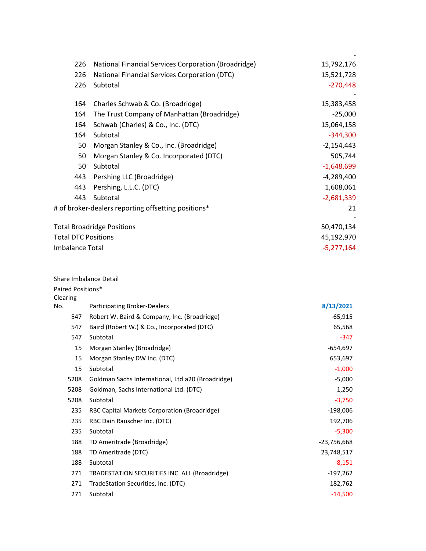| 226                        | National Financial Services Corporation (Broadridge) | 15,792,176   |
|----------------------------|------------------------------------------------------|--------------|
| 226                        | National Financial Services Corporation (DTC)        | 15,521,728   |
| 226                        | Subtotal                                             | $-270,448$   |
|                            |                                                      |              |
| 164                        | Charles Schwab & Co. (Broadridge)                    | 15,383,458   |
| 164                        | The Trust Company of Manhattan (Broadridge)          | $-25,000$    |
| 164                        | Schwab (Charles) & Co., Inc. (DTC)                   | 15,064,158   |
| 164                        | Subtotal                                             | $-344,300$   |
| 50                         | Morgan Stanley & Co., Inc. (Broadridge)              | $-2,154,443$ |
| 50                         | Morgan Stanley & Co. Incorporated (DTC)              | 505,744      |
| 50                         | Subtotal                                             | $-1,648,699$ |
| 443                        | Pershing LLC (Broadridge)                            | $-4,289,400$ |
| 443                        | Pershing, L.L.C. (DTC)                               | 1,608,061    |
| 443                        | Subtotal                                             | $-2,681,339$ |
|                            | # of broker-dealers reporting offsetting positions*  | 21           |
|                            |                                                      |              |
|                            | <b>Total Broadridge Positions</b>                    | 50,470,134   |
| <b>Total DTC Positions</b> |                                                      | 45,192,970   |
| Imbalance Total            |                                                      | $-5,277,164$ |

| Share Imbalance Detail |  |
|------------------------|--|
|------------------------|--|

## Paired Positions\*

| Clearing |                                                   |               |
|----------|---------------------------------------------------|---------------|
| No.      | <b>Participating Broker-Dealers</b>               | 8/13/2021     |
| 547      | Robert W. Baird & Company, Inc. (Broadridge)      | $-65,915$     |
| 547      | Baird (Robert W.) & Co., Incorporated (DTC)       | 65,568        |
| 547      | Subtotal                                          | -347          |
| 15       | Morgan Stanley (Broadridge)                       | $-654,697$    |
| 15       | Morgan Stanley DW Inc. (DTC)                      | 653,697       |
| 15       | Subtotal                                          | $-1,000$      |
| 5208     | Goldman Sachs International, Ltd.a20 (Broadridge) | $-5,000$      |
| 5208     | Goldman, Sachs International Ltd. (DTC)           | 1,250         |
| 5208     | Subtotal                                          | $-3,750$      |
| 235      | RBC Capital Markets Corporation (Broadridge)      | $-198,006$    |
| 235      | RBC Dain Rauscher Inc. (DTC)                      | 192,706       |
| 235      | Subtotal                                          | $-5,300$      |
| 188      | TD Ameritrade (Broadridge)                        | $-23,756,668$ |
| 188      | TD Ameritrade (DTC)                               | 23,748,517    |
| 188      | Subtotal                                          | $-8,151$      |
| 271      | TRADESTATION SECURITIES INC. ALL (Broadridge)     | $-197,262$    |
| 271      | TradeStation Securities, Inc. (DTC)               | 182,762       |
| 271      | Subtotal                                          | $-14,500$     |
|          |                                                   |               |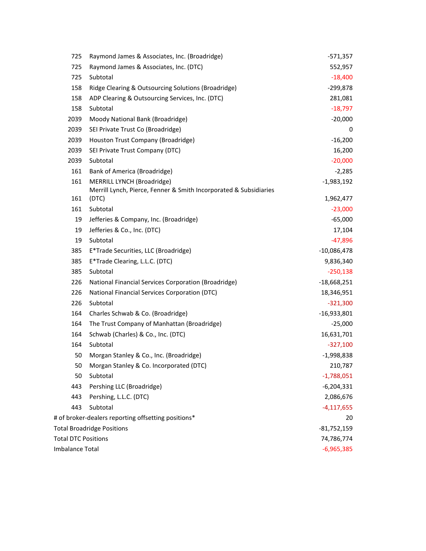| 725                        | Raymond James & Associates, Inc. (Broadridge)                     | -571,357      |
|----------------------------|-------------------------------------------------------------------|---------------|
| 725                        | Raymond James & Associates, Inc. (DTC)                            | 552,957       |
| 725                        | Subtotal                                                          | $-18,400$     |
| 158                        | Ridge Clearing & Outsourcing Solutions (Broadridge)               | -299,878      |
| 158                        | ADP Clearing & Outsourcing Services, Inc. (DTC)                   | 281,081       |
| 158                        | Subtotal                                                          | $-18,797$     |
| 2039                       | Moody National Bank (Broadridge)                                  | $-20,000$     |
| 2039                       | SEI Private Trust Co (Broadridge)                                 | 0             |
| 2039                       | Houston Trust Company (Broadridge)                                | $-16,200$     |
| 2039                       | SEI Private Trust Company (DTC)                                   | 16,200        |
| 2039                       | Subtotal                                                          | $-20,000$     |
| 161                        | <b>Bank of America (Broadridge)</b>                               | $-2,285$      |
| 161                        | MERRILL LYNCH (Broadridge)                                        | $-1,983,192$  |
|                            | Merrill Lynch, Pierce, Fenner & Smith Incorporated & Subsidiaries |               |
| 161                        | (DTC)                                                             | 1,962,477     |
| 161                        | Subtotal                                                          | $-23,000$     |
| 19                         | Jefferies & Company, Inc. (Broadridge)                            | $-65,000$     |
| 19                         | Jefferies & Co., Inc. (DTC)                                       | 17,104        |
| 19                         | Subtotal                                                          | -47,896       |
| 385                        | E*Trade Securities, LLC (Broadridge)                              | $-10,086,478$ |
| 385                        | E*Trade Clearing, L.L.C. (DTC)                                    | 9,836,340     |
| 385                        | Subtotal                                                          | $-250,138$    |
| 226                        | National Financial Services Corporation (Broadridge)              | $-18,668,251$ |
| 226                        | National Financial Services Corporation (DTC)                     | 18,346,951    |
| 226                        | Subtotal                                                          | $-321,300$    |
| 164                        | Charles Schwab & Co. (Broadridge)                                 | $-16,933,801$ |
| 164                        | The Trust Company of Manhattan (Broadridge)                       | $-25,000$     |
| 164                        | Schwab (Charles) & Co., Inc. (DTC)                                | 16,631,701    |
| 164                        | Subtotal                                                          | $-327,100$    |
| 50                         | Morgan Stanley & Co., Inc. (Broadridge)                           | $-1,998,838$  |
| 50                         | Morgan Stanley & Co. Incorporated (DTC)                           | 210,787       |
| 50                         | Subtotal                                                          | $-1,788,051$  |
| 443                        | Pershing LLC (Broadridge)                                         | $-6,204,331$  |
| 443                        | Pershing, L.L.C. (DTC)                                            | 2,086,676     |
| 443                        | Subtotal                                                          | $-4,117,655$  |
|                            | # of broker-dealers reporting offsetting positions*               | 20            |
|                            | <b>Total Broadridge Positions</b>                                 | $-81,752,159$ |
| <b>Total DTC Positions</b> |                                                                   | 74,786,774    |
| Imbalance Total            |                                                                   | $-6,965,385$  |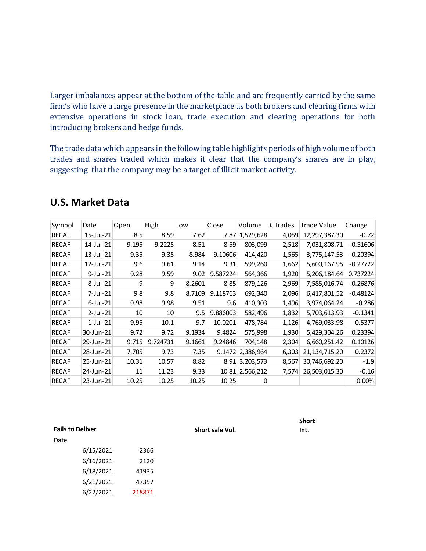Larger imbalances appear at the bottom of the table and are frequently carried by the same firm's who have a large presence in the marketplace as both brokers and clearing firms with extensive operations in stock loan, trade execution and clearing operations for both introducing brokers and hedge funds.

The trade data which appears in the following table highlights periods of high volume of both trades and shares traded which makes it clear that the company's shares are in play, suggesting that the company may be a target of illicit market activity.

| Symbol       | Date        | Open  | High     | Low    | Close    | Volume           | # Trades | Trade Value      | Change     |
|--------------|-------------|-------|----------|--------|----------|------------------|----------|------------------|------------|
| <b>RECAF</b> | 15-Jul-21   | 8.5   | 8.59     | 7.62   | 7.87     | 1,529,628        | 4,059    | 12,297,387.30    | $-0.72$    |
| <b>RECAF</b> | 14-Jul-21   | 9.195 | 9.2225   | 8.51   | 8.59     | 803,099          | 2,518    | 7,031,808.71     | $-0.51606$ |
| <b>RECAF</b> | 13-Jul-21   | 9.35  | 9.35     | 8.984  | 9.10606  | 414,420          | 1,565    | 3,775,147.53     | $-0.20394$ |
| <b>RECAF</b> | 12-Jul-21   | 9.6   | 9.61     | 9.14   | 9.31     | 599,260          | 1,662    | 5,600,167.95     | $-0.27722$ |
| <b>RECAF</b> | 9-Jul-21    | 9.28  | 9.59     | 9.02   | 9.587224 | 564,366          | 1,920    | 5,206,184.64     | 0.737224   |
| <b>RECAF</b> | 8-Jul-21    | 9     | 9        | 8.2601 | 8.85     | 879,126          | 2,969    | 7,585,016.74     | $-0.26876$ |
| <b>RECAF</b> | 7-Jul-21    | 9.8   | 9.8      | 8.7109 | 9.118763 | 692,340          | 2,096    | 6,417,801.52     | $-0.48124$ |
| <b>RECAF</b> | 6-Jul-21    | 9.98  | 9.98     | 9.51   | 9.6      | 410,303          | 1,496    | 3,974,064.24     | $-0.286$   |
| <b>RECAF</b> | 2-Jul-21    | 10    | 10       | 9.5    | 9.886003 | 582,496          | 1,832    | 5,703,613.93     | $-0.1341$  |
| <b>RECAF</b> | $1$ -Jul-21 | 9.95  | 10.1     | 9.7    | 10.0201  | 478,784          | 1,126    | 4,769,033.98     | 0.5377     |
| <b>RECAF</b> | 30-Jun-21   | 9.72  | 9.72     | 9.1934 | 9.4824   | 575,998          | 1,930    | 5,429,304.26     | 0.23394    |
| <b>RECAF</b> | 29-Jun-21   | 9.715 | 9.724731 | 9.1661 | 9.24846  | 704,148          | 2,304    | 6,660,251.42     | 0.10126    |
| <b>RECAF</b> | 28-Jun-21   | 7.705 | 9.73     | 7.35   |          | 9.1472 2,386,964 | 6,303    | 21, 134, 715. 20 | 0.2372     |
| <b>RECAF</b> | 25-Jun-21   | 10.31 | 10.57    | 8.82   |          | 8.91 3,203,573   | 8,567    | 30,746,692.20    | $-1.9$     |
| <b>RECAF</b> | 24-Jun-21   | 11    | 11.23    | 9.33   |          | 10.81 2,566,212  | 7,574    | 26,503,015.30    | $-0.16$    |
| <b>RECAF</b> | 23-Jun-21   | 10.25 | 10.25    | 10.25  | 10.25    | 0                |          |                  | 0.00%      |

# **U.S. Market Data**

**Fails to Deliver Short sale Vol.** 

**Short Int.**

Date

| 6/15/2021 | 2366   |
|-----------|--------|
| 6/16/2021 | 2120   |
| 6/18/2021 | 41935  |
| 6/21/2021 | 47357  |
| 6/22/2021 | 218871 |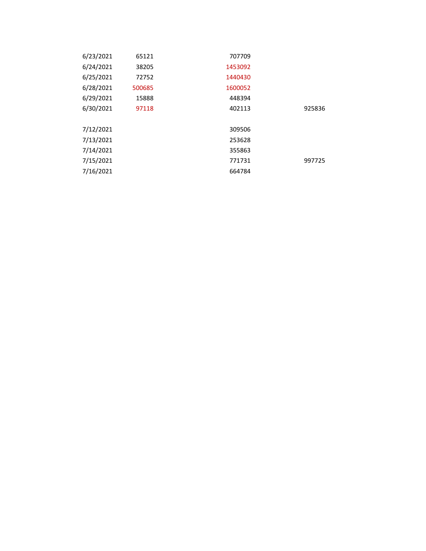| 6/23/2021 | 65121  | 707709  |        |
|-----------|--------|---------|--------|
| 6/24/2021 | 38205  | 1453092 |        |
| 6/25/2021 | 72752  | 1440430 |        |
| 6/28/2021 | 500685 | 1600052 |        |
| 6/29/2021 | 15888  | 448394  |        |
| 6/30/2021 | 97118  | 402113  | 925836 |
|           |        |         |        |
| 7/12/2021 |        | 309506  |        |
| 7/13/2021 |        | 253628  |        |
| 7/14/2021 |        | 355863  |        |
| 7/15/2021 |        | 771731  | 997725 |
| 7/16/2021 |        | 664784  |        |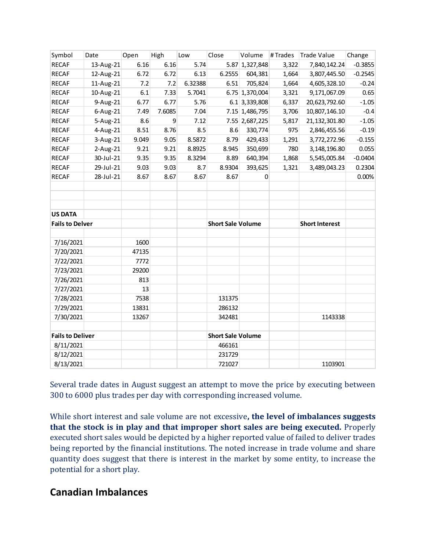| Symbol                  | Date      | Open  | High   | Low     | Close                    | Volume          | #Trades | <b>Trade Value</b>    | Change    |
|-------------------------|-----------|-------|--------|---------|--------------------------|-----------------|---------|-----------------------|-----------|
| <b>RECAF</b>            | 13-Aug-21 | 6.16  | 6.16   | 5.74    |                          | 5.87 1,327,848  | 3,322   | 7,840,142.24          | $-0.3855$ |
| <b>RECAF</b>            | 12-Aug-21 | 6.72  | 6.72   | 6.13    | 6.2555                   | 604,381         | 1,664   | 3,807,445.50          | $-0.2545$ |
| <b>RECAF</b>            | 11-Aug-21 | 7.2   | 7.2    | 6.32388 | 6.51                     | 705,824         | 1,664   | 4,605,328.10          | $-0.24$   |
| <b>RECAF</b>            | 10-Aug-21 | 6.1   | 7.33   | 5.7041  |                          | 6.75 1,370,004  | 3,321   | 9,171,067.09          | 0.65      |
| <b>RECAF</b>            | 9-Aug-21  | 6.77  | 6.77   | 5.76    |                          | $6.1$ 3,339,808 | 6,337   | 20,623,792.60         | $-1.05$   |
| <b>RECAF</b>            | 6-Aug-21  | 7.49  | 7.6085 | 7.04    |                          | 7.15 1,486,795  | 3,706   | 10,807,146.10         | $-0.4$    |
| <b>RECAF</b>            | 5-Aug-21  | 8.6   | 9      | 7.12    |                          | 7.55 2,687,225  | 5,817   | 21, 132, 301.80       | $-1.05$   |
| <b>RECAF</b>            | 4-Aug-21  | 8.51  | 8.76   | 8.5     | 8.6                      | 330,774         | 975     | 2,846,455.56          | $-0.19$   |
| <b>RECAF</b>            | 3-Aug-21  | 9.049 | 9.05   | 8.5872  | 8.79                     | 429,433         | 1,291   | 3,772,272.96          | $-0.155$  |
| <b>RECAF</b>            | 2-Aug-21  | 9.21  | 9.21   | 8.8925  | 8.945                    | 350,699         | 780     | 3,148,196.80          | 0.055     |
| <b>RECAF</b>            | 30-Jul-21 | 9.35  | 9.35   | 8.3294  | 8.89                     | 640,394         | 1,868   | 5,545,005.84          | $-0.0404$ |
| <b>RECAF</b>            | 29-Jul-21 | 9.03  | 9.03   | 8.7     | 8.9304                   | 393,625         | 1,321   | 3,489,043.23          | 0.2304    |
| <b>RECAF</b>            | 28-Jul-21 | 8.67  | 8.67   | 8.67    | 8.67                     | 0               |         |                       | 0.00%     |
|                         |           |       |        |         |                          |                 |         |                       |           |
|                         |           |       |        |         |                          |                 |         |                       |           |
|                         |           |       |        |         |                          |                 |         |                       |           |
| <b>US DATA</b>          |           |       |        |         |                          |                 |         |                       |           |
| <b>Fails to Delver</b>  |           |       |        |         | <b>Short Sale Volume</b> |                 |         | <b>Short Interest</b> |           |
|                         |           |       |        |         |                          |                 |         |                       |           |
| 7/16/2021               |           | 1600  |        |         |                          |                 |         |                       |           |
| 7/20/2021               |           | 47135 |        |         |                          |                 |         |                       |           |
| 7/22/2021               |           | 7772  |        |         |                          |                 |         |                       |           |
| 7/23/2021               |           | 29200 |        |         |                          |                 |         |                       |           |
| 7/26/2021               |           | 813   |        |         |                          |                 |         |                       |           |
| 7/27/2021               |           | 13    |        |         |                          |                 |         |                       |           |
| 7/28/2021               |           | 7538  |        |         | 131375                   |                 |         |                       |           |
| 7/29/2021               |           | 13831 |        |         | 286132                   |                 |         |                       |           |
| 7/30/2021               |           | 13267 |        |         | 342481                   |                 |         | 1143338               |           |
| <b>Fails to Deliver</b> |           |       |        |         | <b>Short Sale Volume</b> |                 |         |                       |           |
| 8/11/2021               |           |       |        |         | 466161                   |                 |         |                       |           |
| 8/12/2021               |           |       |        |         | 231729                   |                 |         |                       |           |
| 8/13/2021               |           |       |        |         | 721027                   |                 |         | 1103901               |           |

Several trade dates in August suggest an attempt to move the price by executing between 300 to 6000 plus trades per day with corresponding increased volume.

While short interest and sale volume are not excessive**, the level of imbalances suggests that the stock is in play and that improper short sales are being executed.** Properly executed short sales would be depicted by a higher reported value of failed to deliver trades being reported by the financial institutions. The noted increase in trade volume and share quantity does suggest that there is interest in the market by some entity, to increase the potential for a short play.

# **Canadian Imbalances**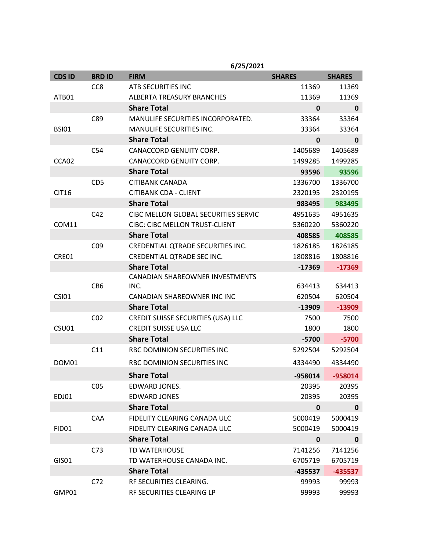|               |                 | 6/25/2021                                 |               |               |
|---------------|-----------------|-------------------------------------------|---------------|---------------|
| <b>CDS ID</b> | <b>BRD ID</b>   | <b>FIRM</b>                               | <b>SHARES</b> | <b>SHARES</b> |
|               | CC <sub>8</sub> | ATB SECURITIES INC                        | 11369         | 11369         |
| ATB01         |                 | <b>ALBERTA TREASURY BRANCHES</b>          | 11369         | 11369         |
|               |                 | <b>Share Total</b>                        | $\mathbf{0}$  | $\mathbf 0$   |
|               | C89             | MANULIFE SECURITIES INCORPORATED.         | 33364         | 33364         |
| <b>BSI01</b>  |                 | <b>MANULIFE SECURITIES INC.</b>           | 33364         | 33364         |
|               |                 | <b>Share Total</b>                        | $\mathbf{0}$  | 0             |
|               | C <sub>54</sub> | CANACCORD GENUITY CORP.                   | 1405689       | 1405689       |
| CCA02         |                 | CANACCORD GENUITY CORP.                   | 1499285       | 1499285       |
|               |                 | <b>Share Total</b>                        | 93596         | 93596         |
|               | CD <sub>5</sub> | <b>CITIBANK CANADA</b>                    | 1336700       | 1336700       |
| <b>CIT16</b>  |                 | <b>CITIBANK CDA - CLIENT</b>              | 2320195       | 2320195       |
|               |                 | <b>Share Total</b>                        | 983495        | 983495        |
|               | C42             | CIBC MELLON GLOBAL SECURITIES SERVIC      | 4951635       | 4951635       |
| COM11         |                 | <b>CIBC: CIBC MELLON TRUST-CLIENT</b>     | 5360220       | 5360220       |
|               |                 | <b>Share Total</b>                        | 408585        | 408585        |
|               | CO <sub>9</sub> | CREDENTIAL QTRADE SECURITIES INC.         | 1826185       | 1826185       |
| CRE01         |                 | <b>CREDENTIAL QTRADE SEC INC.</b>         | 1808816       | 1808816       |
|               |                 | <b>Share Total</b>                        | $-17369$      | $-17369$      |
|               |                 | <b>CANADIAN SHAREOWNER INVESTMENTS</b>    |               |               |
|               | CB <sub>6</sub> | INC.                                      | 634413        | 634413        |
| <b>CSI01</b>  |                 | CANADIAN SHAREOWNER INC INC               | 620504        | 620504        |
|               |                 | <b>Share Total</b>                        | -13909        | -13909        |
|               | CO <sub>2</sub> | <b>CREDIT SUISSE SECURITIES (USA) LLC</b> | 7500          | 7500          |
| CSU01         |                 | <b>CREDIT SUISSE USA LLC</b>              | 1800          | 1800          |
|               |                 | <b>Share Total</b>                        | $-5700$       | $-5700$       |
|               | C11             | RBC DOMINION SECURITIES INC               | 5292504       | 5292504       |
| DOM01         |                 | RBC DOMINION SECURITIES INC               | 4334490       | 4334490       |
|               |                 | <b>Share Total</b>                        | -958014       | -958014       |
|               | CO <sub>5</sub> | EDWARD JONES.                             | 20395         | 20395         |
| EDJ01         |                 | <b>EDWARD JONES</b>                       | 20395         | 20395         |
|               |                 | <b>Share Total</b>                        | $\mathbf 0$   | $\mathbf 0$   |
|               | CAA             | FIDELITY CLEARING CANADA ULC              | 5000419       | 5000419       |
| <b>FID01</b>  |                 | FIDELITY CLEARING CANADA ULC              | 5000419       | 5000419       |
|               |                 | <b>Share Total</b>                        | $\mathbf 0$   | $\mathbf 0$   |
|               | C <sub>73</sub> | <b>TD WATERHOUSE</b>                      | 7141256       | 7141256       |
| <b>GISO1</b>  |                 | TD WATERHOUSE CANADA INC.                 | 6705719       | 6705719       |
|               |                 | <b>Share Total</b>                        | -435537       | $-435537$     |
|               | C <sub>72</sub> | RF SECURITIES CLEARING.                   | 99993         | 99993         |
| GMP01         |                 | RF SECURITIES CLEARING LP                 | 99993         | 99993         |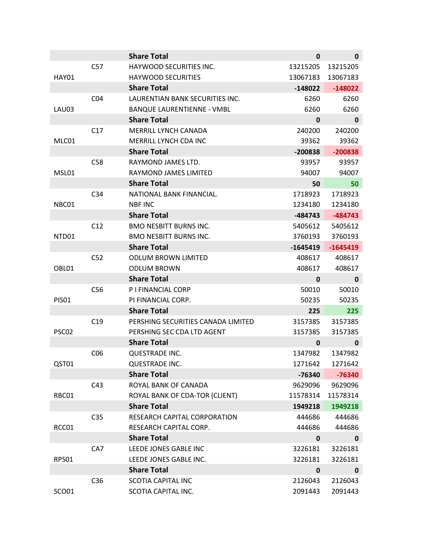|              |                 | <b>Share Total</b>                 | 0           | $\mathbf 0$ |
|--------------|-----------------|------------------------------------|-------------|-------------|
|              | C57             | HAYWOOD SECURITIES INC.            | 13215205    | 13215205    |
| <b>HAY01</b> |                 | <b>HAYWOOD SECURITIES</b>          | 13067183    | 13067183    |
|              |                 | <b>Share Total</b>                 | $-148022$   | $-148022$   |
|              | CO <sub>4</sub> | LAURENTIAN BANK SECURITIES INC.    | 6260        | 6260        |
| LAU03        |                 | <b>BANQUE LAURENTIENNE - VMBL</b>  | 6260        | 6260        |
|              |                 | <b>Share Total</b>                 | 0           | $\mathbf 0$ |
|              | C17             | <b>MERRILL LYNCH CANADA</b>        | 240200      | 240200      |
| MLC01        |                 | MERRILL LYNCH CDA INC              | 39362       | 39362       |
|              |                 | <b>Share Total</b>                 | $-200838$   | $-200838$   |
|              | C58             | RAYMOND JAMES LTD.                 | 93957       | 93957       |
| MSL01        |                 | RAYMOND JAMES LIMITED              | 94007       | 94007       |
|              |                 | <b>Share Total</b>                 | 50          | 50          |
|              | C34             | NATIONAL BANK FINANCIAL.           | 1718923     | 1718923     |
| NBC01        |                 | <b>NBF INC</b>                     | 1234180     | 1234180     |
|              |                 | <b>Share Total</b>                 | $-484743$   | $-484743$   |
|              | C12             | <b>BMO NESBITT BURNS INC.</b>      | 5405612     | 5405612     |
| NTD01        |                 | <b>BMO NESBITT BURNS INC.</b>      | 3760193     | 3760193     |
|              |                 | <b>Share Total</b>                 | $-1645419$  | $-1645419$  |
|              | C52             | <b>ODLUM BROWN LIMITED</b>         | 408617      | 408617      |
| OBL01        |                 | <b>ODLUM BROWN</b>                 | 408617      | 408617      |
|              |                 |                                    |             |             |
|              |                 | <b>Share Total</b>                 | $\mathbf 0$ | $\mathbf 0$ |
|              | C <sub>56</sub> | P I FINANCIAL CORP                 | 50010       | 50010       |
| <b>PISO1</b> |                 | PI FINANCIAL CORP.                 | 50235       | 50235       |
|              |                 | <b>Share Total</b>                 | 225         | 225         |
|              | C19             | PERSHING SECURITIES CANADA LIMITED | 3157385     | 3157385     |
| PSC02        |                 | PERSHING SEC CDA LTD AGENT         | 3157385     | 3157385     |
|              |                 | <b>Share Total</b>                 | 0           | $\mathbf 0$ |
|              | CO <sub>6</sub> | QUESTRADE INC.                     | 1347982     | 1347982     |
| QST01        |                 | QUESTRADE INC.                     | 1271642     | 1271642     |
|              |                 | <b>Share Total</b>                 | $-76340$    | $-76340$    |
|              | C43             | ROYAL BANK OF CANADA               | 9629096     | 9629096     |
| RBC01        |                 | ROYAL BANK OF CDA-TOR (CLIENT)     | 11578314    | 11578314    |
|              |                 | <b>Share Total</b>                 | 1949218     | 1949218     |
|              | C <sub>35</sub> | RESEARCH CAPITAL CORPORATION       | 444686      | 444686      |
| RCC01        |                 | RESEARCH CAPITAL CORP.             | 444686      | 444686      |
|              |                 | <b>Share Total</b>                 | 0           | $\mathbf 0$ |
|              | CA7             | LEEDE JONES GABLE INC              | 3226181     | 3226181     |
| RPS01        |                 | LEEDE JONES GABLE INC.             | 3226181     | 3226181     |
|              |                 | <b>Share Total</b>                 | 0           | $\mathbf 0$ |
|              | C <sub>36</sub> | <b>SCOTIA CAPITAL INC</b>          | 2126043     | 2126043     |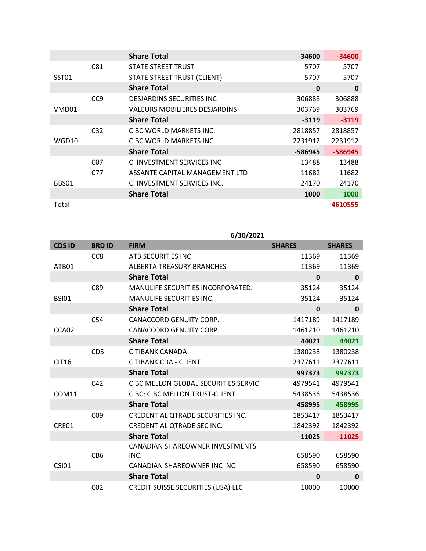|       |                 | <b>Share Total</b>                   | -34600   | $-34600$ |
|-------|-----------------|--------------------------------------|----------|----------|
|       | C81             | STATE STREET TRUST                   | 5707     | 5707     |
| SST01 |                 | STATE STREET TRUST (CLIENT)          | 5707     | 5707     |
|       |                 | <b>Share Total</b>                   | $\bf{0}$ | 0        |
|       | CC <sub>9</sub> | <b>DESIARDINS SECURITIES INC.</b>    | 306888   | 306888   |
| VMD01 |                 | <b>VALEURS MOBILIERES DESJARDINS</b> | 303769   | 303769   |
|       |                 | <b>Share Total</b>                   | $-3119$  | $-3119$  |
|       | C <sub>32</sub> | CIBC WORLD MARKETS INC.              | 2818857  | 2818857  |
| WGD10 |                 | CIBC WORLD MARKETS INC.              | 2231912  | 2231912  |
|       |                 | <b>Share Total</b>                   | -586945  | -586945  |
|       | C <sub>07</sub> | CLINVESTMENT SERVICES INC            | 13488    | 13488    |
|       | C77             | ASSANTE CAPITAL MANAGEMENT LTD       | 11682    | 11682    |
| BBS01 |                 | CLINVESTMENT SERVICES INC.           | 24170    | 24170    |
|       |                 | <b>Share Total</b>                   | 1000     | 1000     |
| Total |                 |                                      |          | -4610555 |

# **6/30/2021**

| <b>CDS ID</b> | <b>BRDID</b>    | <b>FIRM</b>                               | <b>SHARES</b> | <b>SHARES</b> |
|---------------|-----------------|-------------------------------------------|---------------|---------------|
|               | CC <sub>8</sub> | ATB SECURITIES INC                        | 11369         | 11369         |
| ATB01         |                 | <b>ALBERTA TREASURY BRANCHES</b>          | 11369         | 11369         |
|               |                 | <b>Share Total</b>                        | 0             | $\mathbf 0$   |
|               | C89             | MANULIFE SECURITIES INCORPORATED.         | 35124         | 35124         |
| <b>BSI01</b>  |                 | <b>MANULIFE SECURITIES INC.</b>           | 35124         | 35124         |
|               |                 | <b>Share Total</b>                        | 0             | $\bf{0}$      |
|               | C <sub>54</sub> | CANACCORD GENUITY CORP.                   | 1417189       | 1417189       |
| CCA02         |                 | CANACCORD GENUITY CORP.                   | 1461210       | 1461210       |
|               |                 | <b>Share Total</b>                        | 44021         | 44021         |
|               | CD <sub>5</sub> | <b>CITIBANK CANADA</b>                    | 1380238       | 1380238       |
| <b>CIT16</b>  |                 | <b>CITIBANK CDA - CLIENT</b>              | 2377611       | 2377611       |
|               |                 | <b>Share Total</b>                        | 997373        | 997373        |
|               | C42             | CIBC MELLON GLOBAL SECURITIES SERVIC      | 4979541       | 4979541       |
| <b>COM11</b>  |                 | <b>CIBC: CIBC MELLON TRUST-CLIENT</b>     | 5438536       | 5438536       |
|               |                 | <b>Share Total</b>                        | 458995        | 458995        |
|               | CO <sub>9</sub> | CREDENTIAL QTRADE SECURITIES INC.         | 1853417       | 1853417       |
| CRE01         |                 | CREDENTIAL QTRADE SEC INC.                | 1842392       | 1842392       |
|               |                 | <b>Share Total</b>                        | $-11025$      | $-11025$      |
|               |                 | <b>CANADIAN SHAREOWNER INVESTMENTS</b>    |               |               |
|               | CB <sub>6</sub> | INC.                                      | 658590        | 658590        |
| <b>CSI01</b>  |                 | CANADIAN SHAREOWNER INC INC               | 658590        | 658590        |
|               |                 | <b>Share Total</b>                        | 0             | $\mathbf 0$   |
|               | CO <sub>2</sub> | <b>CREDIT SUISSE SECURITIES (USA) LLC</b> | 10000         | 10000         |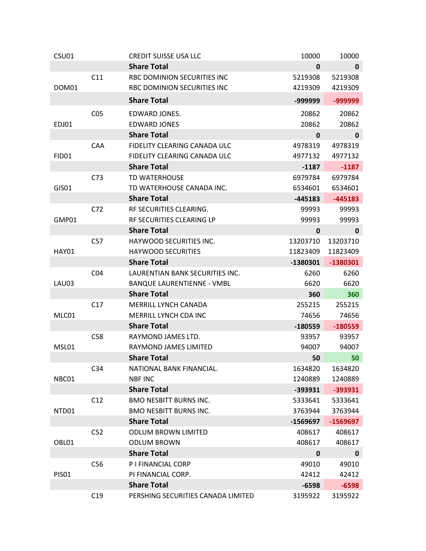| CSU01        |                 | <b>CREDIT SUISSE USA LLC</b>       | 10000     | 10000       |
|--------------|-----------------|------------------------------------|-----------|-------------|
|              |                 | <b>Share Total</b>                 | 0         | $\mathbf 0$ |
|              | C11             | <b>RBC DOMINION SECURITIES INC</b> | 5219308   | 5219308     |
| DOM01        |                 | RBC DOMINION SECURITIES INC        | 4219309   | 4219309     |
|              |                 | <b>Share Total</b>                 | -999999   | -999999     |
|              | CO <sub>5</sub> | EDWARD JONES.                      | 20862     | 20862       |
| EDJ01        |                 | <b>EDWARD JONES</b>                | 20862     | 20862       |
|              |                 | <b>Share Total</b>                 | 0         | $\mathbf 0$ |
|              | CAA             | FIDELITY CLEARING CANADA ULC       | 4978319   | 4978319     |
| <b>FID01</b> |                 | FIDELITY CLEARING CANADA ULC       | 4977132   | 4977132     |
|              |                 | <b>Share Total</b>                 | $-1187$   | $-1187$     |
|              | C73             | <b>TD WATERHOUSE</b>               | 6979784   | 6979784     |
| GIS01        |                 | TD WATERHOUSE CANADA INC.          | 6534601   | 6534601     |
|              |                 | <b>Share Total</b>                 | $-445183$ | $-445183$   |
|              | C72             | RF SECURITIES CLEARING.            | 99993     | 99993       |
| GMP01        |                 | RF SECURITIES CLEARING LP          | 99993     | 99993       |
|              |                 | <b>Share Total</b>                 | 0         | 0           |
|              | C57             | HAYWOOD SECURITIES INC.            | 13203710  | 13203710    |
| <b>HAY01</b> |                 | <b>HAYWOOD SECURITIES</b>          | 11823409  | 11823409    |
|              |                 | <b>Share Total</b>                 | -1380301  | -1380301    |
|              | CO <sub>4</sub> | LAURENTIAN BANK SECURITIES INC.    | 6260      | 6260        |
| LAU03        |                 | <b>BANQUE LAURENTIENNE - VMBL</b>  | 6620      | 6620        |
|              |                 | <b>Share Total</b>                 | 360       | 360         |
|              | C17             | MERRILL LYNCH CANADA               | 255215    | 255215      |
| MLC01        |                 | MERRILL LYNCH CDA INC              | 74656     | 74656       |
|              |                 | <b>Share Total</b>                 | $-180559$ | $-180559$   |
|              | C58             | RAYMOND JAMES LTD.                 | 93957     | 93957       |
| MSL01        |                 | RAYMOND JAMES LIMITED              | 94007     | 94007       |
|              |                 | <b>Share Total</b>                 | 50        | 50          |
|              | C <sub>34</sub> | NATIONAL BANK FINANCIAL.           | 1634820   | 1634820     |
| NBC01        |                 | <b>NBF INC</b>                     | 1240889   | 1240889     |
|              |                 | <b>Share Total</b>                 | $-393931$ | -393931     |
|              | C12             | <b>BMO NESBITT BURNS INC.</b>      | 5333641   | 5333641     |
| NTD01        |                 | <b>BMO NESBITT BURNS INC.</b>      | 3763944   | 3763944     |
|              |                 | <b>Share Total</b>                 | -1569697  | $-1569697$  |
|              | C <sub>52</sub> | <b>ODLUM BROWN LIMITED</b>         | 408617    | 408617      |
| OBL01        |                 | <b>ODLUM BROWN</b>                 | 408617    | 408617      |
|              |                 | <b>Share Total</b>                 | 0         | 0           |
|              | C56             | P I FINANCIAL CORP                 | 49010     | 49010       |
| <b>PISO1</b> |                 | PI FINANCIAL CORP.                 | 42412     | 42412       |
|              |                 | <b>Share Total</b>                 | $-6598$   | $-6598$     |
|              | C19             | PERSHING SECURITIES CANADA LIMITED | 3195922   | 3195922     |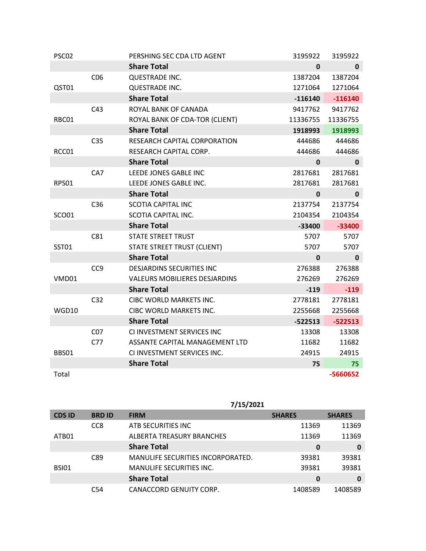| PSC02        |                 | PERSHING SEC CDA LTD AGENT           | 3195922      | 3195922      |
|--------------|-----------------|--------------------------------------|--------------|--------------|
|              |                 | <b>Share Total</b>                   | 0            | $\mathbf{0}$ |
|              | CO6             | QUESTRADE INC.                       | 1387204      | 1387204      |
| QST01        |                 | <b>QUESTRADE INC.</b>                | 1271064      | 1271064      |
|              |                 | <b>Share Total</b>                   | $-116140$    | $-116140$    |
|              | C43             | ROYAL BANK OF CANADA                 | 9417762      | 9417762      |
| RBC01        |                 | ROYAL BANK OF CDA-TOR (CLIENT)       | 11336755     | 11336755     |
|              |                 | <b>Share Total</b>                   | 1918993      | 1918993      |
|              | C <sub>35</sub> | RESEARCH CAPITAL CORPORATION         | 444686       | 444686       |
| RCC01        |                 | RESEARCH CAPITAL CORP.               | 444686       | 444686       |
|              |                 | <b>Share Total</b>                   | 0            | 0            |
|              | CA7             | LEEDE JONES GABLE INC                | 2817681      | 2817681      |
| <b>RPS01</b> |                 | LEEDE JONES GABLE INC.               | 2817681      | 2817681      |
|              |                 | <b>Share Total</b>                   | $\mathbf{0}$ | $\mathbf{0}$ |
|              | C36             | <b>SCOTIA CAPITAL INC</b>            | 2137754      | 2137754      |
| <b>SCO01</b> |                 | SCOTIA CAPITAL INC.                  | 2104354      | 2104354      |
|              |                 | <b>Share Total</b>                   | $-33400$     | $-33400$     |
|              | C81             | <b>STATE STREET TRUST</b>            | 5707         | 5707         |
| <b>SST01</b> |                 | STATE STREET TRUST (CLIENT)          | 5707         | 5707         |
|              |                 | <b>Share Total</b>                   | 0            | 0            |
|              | CC <sub>9</sub> | <b>DESJARDINS SECURITIES INC</b>     | 276388       | 276388       |
| VMD01        |                 | <b>VALEURS MOBILIERES DESJARDINS</b> | 276269       | 276269       |
|              |                 | <b>Share Total</b>                   | $-119$       | $-119$       |
|              | C <sub>32</sub> | CIBC WORLD MARKETS INC.              | 2778181      | 2778181      |
| WGD10        |                 | CIBC WORLD MARKETS INC.              | 2255668      | 2255668      |
|              |                 | <b>Share Total</b>                   | $-522513$    | $-522513$    |
|              | CO <sub>7</sub> | CI INVESTMENT SERVICES INC           | 13308        | 13308        |
|              | C77             | ASSANTE CAPITAL MANAGEMENT LTD       | 11682        | 11682        |
| <b>BBS01</b> |                 | CI INVESTMENT SERVICES INC.          | 24915        | 24915        |
|              |                 | <b>Share Total</b>                   | 75           | 75           |
| Total        |                 |                                      |              | -5660652     |

|               |                 | 7/15/2021                                |               |               |
|---------------|-----------------|------------------------------------------|---------------|---------------|
| <b>CDS ID</b> | <b>BRD ID</b>   | <b>FIRM</b>                              | <b>SHARES</b> | <b>SHARES</b> |
|               | CC <sub>8</sub> | ATB SECURITIES INC                       | 11369         | 11369         |
| ATB01         |                 | ALBERTA TREASURY BRANCHES                | 11369         | 11369         |
|               |                 | <b>Share Total</b>                       | 0             | 0             |
|               | C89             | <b>MANULIFE SECURITIES INCORPORATED.</b> | 39381         | 39381         |
| <b>BSI01</b>  |                 | <b>MANULIFE SECURITIES INC.</b>          | 39381         | 39381         |
|               |                 | <b>Share Total</b>                       | 0             | 0             |
|               | C <sub>54</sub> | CANACCORD GENUITY CORP.                  | 1408589       | 1408589       |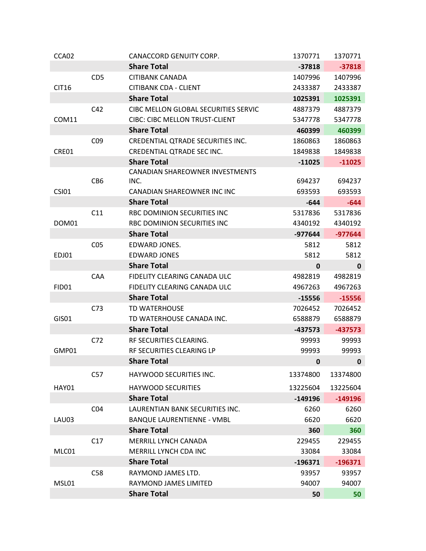| CCA02        |                 | CANACCORD GENUITY CORP.               | 1370771     | 1370771     |
|--------------|-----------------|---------------------------------------|-------------|-------------|
|              |                 | <b>Share Total</b>                    | $-37818$    | $-37818$    |
|              | CD <sub>5</sub> | <b>CITIBANK CANADA</b>                | 1407996     | 1407996     |
| <b>CIT16</b> |                 | <b>CITIBANK CDA - CLIENT</b>          | 2433387     | 2433387     |
|              |                 | <b>Share Total</b>                    | 1025391     | 1025391     |
|              | C42             | CIBC MELLON GLOBAL SECURITIES SERVIC  | 4887379     | 4887379     |
| COM11        |                 | <b>CIBC: CIBC MELLON TRUST-CLIENT</b> | 5347778     | 5347778     |
|              |                 | <b>Share Total</b>                    | 460399      | 460399      |
|              | CO <sub>9</sub> | CREDENTIAL QTRADE SECURITIES INC.     | 1860863     | 1860863     |
| CRE01        |                 | CREDENTIAL QTRADE SEC INC.            | 1849838     | 1849838     |
|              |                 | <b>Share Total</b>                    | $-11025$    | $-11025$    |
|              |                 | CANADIAN SHAREOWNER INVESTMENTS       |             |             |
|              | CB <sub>6</sub> | INC.                                  | 694237      | 694237      |
| <b>CSI01</b> |                 | CANADIAN SHAREOWNER INC INC           | 693593      | 693593      |
|              |                 | <b>Share Total</b>                    | $-644$      | $-644$      |
|              | C11             | RBC DOMINION SECURITIES INC           | 5317836     | 5317836     |
| DOM01        |                 | RBC DOMINION SECURITIES INC           | 4340192     | 4340192     |
|              |                 | <b>Share Total</b>                    | $-977644$   | $-977644$   |
|              | CO <sub>5</sub> | EDWARD JONES.                         | 5812        | 5812        |
| EDJ01        |                 | <b>EDWARD JONES</b>                   | 5812        | 5812        |
|              |                 | <b>Share Total</b>                    | $\mathbf 0$ | $\mathbf 0$ |
|              | CAA             | FIDELITY CLEARING CANADA ULC          | 4982819     | 4982819     |
| <b>FID01</b> |                 | FIDELITY CLEARING CANADA ULC          | 4967263     | 4967263     |
|              |                 | <b>Share Total</b>                    | $-15556$    | $-15556$    |
|              | C <sub>73</sub> | <b>TD WATERHOUSE</b>                  | 7026452     | 7026452     |
| <b>GIS01</b> |                 | TD WATERHOUSE CANADA INC.             | 6588879     | 6588879     |
|              |                 | <b>Share Total</b>                    | $-437573$   | $-437573$   |
|              | C <sub>72</sub> | RF SECURITIES CLEARING.               | 99993       | 99993       |
| GMP01        |                 | RF SECURITIES CLEARING LP             | 99993       | 99993       |
|              |                 | <b>Share Total</b>                    | 0           | 0           |
|              | C57             | HAYWOOD SECURITIES INC.               | 13374800    | 13374800    |
| <b>HAY01</b> |                 | <b>HAYWOOD SECURITIES</b>             | 13225604    | 13225604    |
|              |                 | <b>Share Total</b>                    | $-149196$   | $-149196$   |
|              | CO <sub>4</sub> | LAURENTIAN BANK SECURITIES INC.       | 6260        | 6260        |
| LAU03        |                 | <b>BANQUE LAURENTIENNE - VMBL</b>     | 6620        | 6620        |
|              |                 | <b>Share Total</b>                    | 360         | 360         |
|              | C17             | MERRILL LYNCH CANADA                  | 229455      | 229455      |
| MLC01        |                 | MERRILL LYNCH CDA INC                 | 33084       | 33084       |
|              |                 | <b>Share Total</b>                    | $-196371$   | $-196371$   |
|              | C58             | RAYMOND JAMES LTD.                    | 93957       | 93957       |
| MSL01        |                 | RAYMOND JAMES LIMITED                 | 94007       | 94007       |
|              |                 | <b>Share Total</b>                    | 50          | 50          |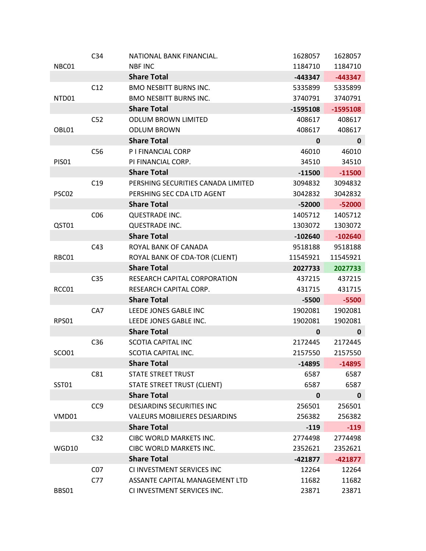|              | C <sub>34</sub> | NATIONAL BANK FINANCIAL.             | 1628057      | 1628057     |
|--------------|-----------------|--------------------------------------|--------------|-------------|
| NBC01        |                 | <b>NBF INC</b>                       | 1184710      | 1184710     |
|              |                 | <b>Share Total</b>                   | -443347      | $-443347$   |
|              | C12             | <b>BMO NESBITT BURNS INC.</b>        | 5335899      | 5335899     |
| NTD01        |                 | <b>BMO NESBITT BURNS INC.</b>        | 3740791      | 3740791     |
|              |                 | <b>Share Total</b>                   | $-1595108$   | $-1595108$  |
|              | C <sub>52</sub> | <b>ODLUM BROWN LIMITED</b>           | 408617       | 408617      |
| OBL01        |                 | <b>ODLUM BROWN</b>                   | 408617       | 408617      |
|              |                 | <b>Share Total</b>                   | $\mathbf 0$  | $\mathbf 0$ |
|              | C <sub>56</sub> | P I FINANCIAL CORP                   | 46010        | 46010       |
| <b>PISO1</b> |                 | PI FINANCIAL CORP.                   | 34510        | 34510       |
|              |                 | <b>Share Total</b>                   | $-11500$     | $-11500$    |
|              | C19             | PERSHING SECURITIES CANADA LIMITED   | 3094832      | 3094832     |
| PSC02        |                 | PERSHING SEC CDA LTD AGENT           | 3042832      | 3042832     |
|              |                 | <b>Share Total</b>                   | $-52000$     | $-52000$    |
|              | CO6             | QUESTRADE INC.                       | 1405712      | 1405712     |
| QST01        |                 | <b>QUESTRADE INC.</b>                | 1303072      | 1303072     |
|              |                 | <b>Share Total</b>                   | $-102640$    | $-102640$   |
|              | C43             | ROYAL BANK OF CANADA                 | 9518188      | 9518188     |
| RBC01        |                 | ROYAL BANK OF CDA-TOR (CLIENT)       | 11545921     | 11545921    |
|              |                 | <b>Share Total</b>                   | 2027733      | 2027733     |
|              | C <sub>35</sub> | RESEARCH CAPITAL CORPORATION         | 437215       | 437215      |
| RCC01        |                 | RESEARCH CAPITAL CORP.               | 431715       | 431715      |
|              |                 | <b>Share Total</b>                   | $-5500$      | $-5500$     |
|              | CA7             | LEEDE JONES GABLE INC                | 1902081      | 1902081     |
| <b>RPS01</b> |                 | LEEDE JONES GABLE INC.               | 1902081      | 1902081     |
|              |                 | <b>Share Total</b>                   | $\mathbf{0}$ | $\mathbf 0$ |
|              | C <sub>36</sub> | <b>SCOTIA CAPITAL INC</b>            | 2172445      | 2172445     |
| SCO01        |                 | <b>SCOTIA CAPITAL INC.</b>           | 2157550      | 2157550     |
|              |                 | <b>Share Total</b>                   | $-14895$     | $-14895$    |
|              | C81             | <b>STATE STREET TRUST</b>            | 6587         | 6587        |
| <b>SST01</b> |                 | STATE STREET TRUST (CLIENT)          | 6587         | 6587        |
|              |                 | <b>Share Total</b>                   | $\pmb{0}$    | $\mathbf 0$ |
|              | CC <sub>9</sub> | <b>DESJARDINS SECURITIES INC</b>     | 256501       | 256501      |
| VMD01        |                 | <b>VALEURS MOBILIERES DESJARDINS</b> | 256382       | 256382      |
|              |                 | <b>Share Total</b>                   | $-119$       | $-119$      |
|              | C <sub>32</sub> | CIBC WORLD MARKETS INC.              | 2774498      | 2774498     |
| WGD10        |                 | CIBC WORLD MARKETS INC.              | 2352621      | 2352621     |
|              |                 | <b>Share Total</b>                   | $-421877$    | $-421877$   |
|              | CO <sub>7</sub> | CI INVESTMENT SERVICES INC           | 12264        | 12264       |
|              | C77             | ASSANTE CAPITAL MANAGEMENT LTD       | 11682        | 11682       |
| BBS01        |                 | CI INVESTMENT SERVICES INC.          | 23871        | 23871       |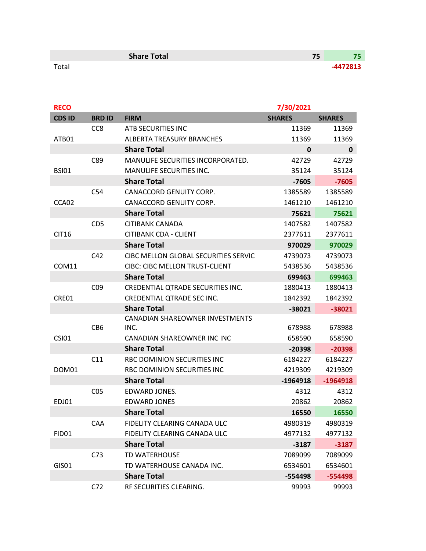|       | <b>Share Total</b> | - 1      |
|-------|--------------------|----------|
| Total |                    | -4472813 |

| <b>RECO</b>   |                 |                                        | 7/30/2021     |               |
|---------------|-----------------|----------------------------------------|---------------|---------------|
| <b>CDS ID</b> | <b>BRD ID</b>   | <b>FIRM</b>                            | <b>SHARES</b> | <b>SHARES</b> |
|               | CC <sub>8</sub> | ATB SECURITIES INC                     | 11369         | 11369         |
| ATB01         |                 | <b>ALBERTA TREASURY BRANCHES</b>       | 11369         | 11369         |
|               |                 | <b>Share Total</b>                     | 0             | $\mathbf{0}$  |
|               | C89             | MANULIFE SECURITIES INCORPORATED.      | 42729         | 42729         |
| <b>BSI01</b>  |                 | <b>MANULIFE SECURITIES INC.</b>        | 35124         | 35124         |
|               |                 | <b>Share Total</b>                     | $-7605$       | $-7605$       |
|               | C <sub>54</sub> | CANACCORD GENUITY CORP.                | 1385589       | 1385589       |
| CCA02         |                 | CANACCORD GENUITY CORP.                | 1461210       | 1461210       |
|               |                 | <b>Share Total</b>                     | 75621         | 75621         |
|               | CD <sub>5</sub> | CITIBANK CANADA                        | 1407582       | 1407582       |
| <b>CIT16</b>  |                 | <b>CITIBANK CDA - CLIENT</b>           | 2377611       | 2377611       |
|               |                 | <b>Share Total</b>                     | 970029        | 970029        |
|               | C42             | CIBC MELLON GLOBAL SECURITIES SERVIC   | 4739073       | 4739073       |
| COM11         |                 | <b>CIBC: CIBC MELLON TRUST-CLIENT</b>  | 5438536       | 5438536       |
|               |                 | <b>Share Total</b>                     | 699463        | 699463        |
|               | CO <sub>9</sub> | CREDENTIAL QTRADE SECURITIES INC.      | 1880413       | 1880413       |
| CRE01         |                 | CREDENTIAL QTRADE SEC INC.             | 1842392       | 1842392       |
|               |                 | <b>Share Total</b>                     | -38021        | $-38021$      |
|               |                 | <b>CANADIAN SHAREOWNER INVESTMENTS</b> |               |               |
|               | CB <sub>6</sub> | INC.                                   | 678988        | 678988        |
| <b>CSI01</b>  |                 | CANADIAN SHAREOWNER INC INC            | 658590        | 658590        |
|               |                 | <b>Share Total</b>                     | $-20398$      | $-20398$      |
|               | C11             | RBC DOMINION SECURITIES INC            | 6184227       | 6184227       |
| DOM01         |                 | RBC DOMINION SECURITIES INC            | 4219309       | 4219309       |
|               |                 | <b>Share Total</b>                     | $-1964918$    | $-1964918$    |
|               | CO <sub>5</sub> | EDWARD JONES.                          | 4312          | 4312          |
| EDJ01         |                 | <b>EDWARD JONES</b>                    | 20862         | 20862         |
|               |                 | <b>Share Total</b>                     | 16550         | 16550         |
|               | CAA             | FIDELITY CLEARING CANADA ULC           | 4980319       | 4980319       |
| FID01         |                 | FIDELITY CLEARING CANADA ULC           | 4977132       | 4977132       |
|               |                 | <b>Share Total</b>                     | $-3187$       | $-3187$       |
|               | C <sub>73</sub> | <b>TD WATERHOUSE</b>                   | 7089099       | 7089099       |
| GIS01         |                 | TD WATERHOUSE CANADA INC.              | 6534601       | 6534601       |
|               |                 | <b>Share Total</b>                     | -554498       | $-554498$     |
|               | C72             | RF SECURITIES CLEARING.                | 99993         | 99993         |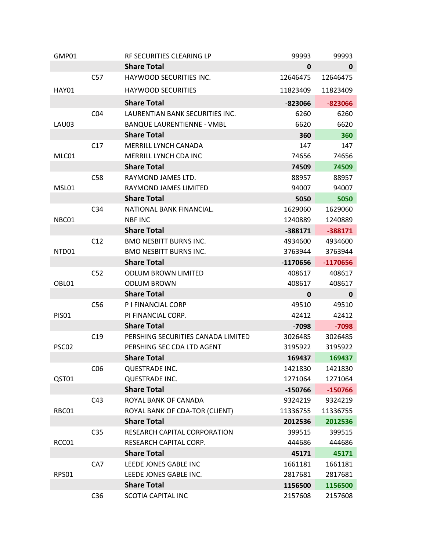| GMP01             |                 | RF SECURITIES CLEARING LP          | 99993       | 99993        |
|-------------------|-----------------|------------------------------------|-------------|--------------|
|                   |                 | <b>Share Total</b>                 | $\mathbf 0$ | $\mathbf{0}$ |
|                   | C57             | HAYWOOD SECURITIES INC.            | 12646475    | 12646475     |
| <b>HAY01</b>      |                 | <b>HAYWOOD SECURITIES</b>          | 11823409    | 11823409     |
|                   |                 | <b>Share Total</b>                 | -823066     | $-823066$    |
|                   | CO <sub>4</sub> | LAURENTIAN BANK SECURITIES INC.    | 6260        | 6260         |
| LAU03             |                 | <b>BANQUE LAURENTIENNE - VMBL</b>  | 6620        | 6620         |
|                   |                 | <b>Share Total</b>                 | 360         | 360          |
|                   | C17             | MERRILL LYNCH CANADA               | 147         | 147          |
| MLC01             |                 | MERRILL LYNCH CDA INC              | 74656       | 74656        |
|                   |                 | <b>Share Total</b>                 | 74509       | 74509        |
|                   | C58             | RAYMOND JAMES LTD.                 | 88957       | 88957        |
| MSL01             |                 | RAYMOND JAMES LIMITED              | 94007       | 94007        |
|                   |                 | <b>Share Total</b>                 | 5050        | 5050         |
|                   | C <sub>34</sub> | NATIONAL BANK FINANCIAL.           | 1629060     | 1629060      |
| NBC01             |                 | <b>NBF INC</b>                     | 1240889     | 1240889      |
|                   |                 | <b>Share Total</b>                 | $-388171$   | $-388171$    |
|                   | C12             | <b>BMO NESBITT BURNS INC.</b>      | 4934600     | 4934600      |
| NTD01             |                 | <b>BMO NESBITT BURNS INC.</b>      | 3763944     | 3763944      |
|                   |                 | <b>Share Total</b>                 | $-1170656$  | $-1170656$   |
|                   | C <sub>52</sub> | <b>ODLUM BROWN LIMITED</b>         | 408617      | 408617       |
| OBL01             |                 | <b>ODLUM BROWN</b>                 | 408617      | 408617       |
|                   |                 | <b>Share Total</b>                 | 0           | $\mathbf 0$  |
|                   | C56             | P I FINANCIAL CORP                 | 49510       | 49510        |
| <b>PISO1</b>      |                 | PI FINANCIAL CORP.                 | 42412       | 42412        |
|                   |                 | <b>Share Total</b>                 | $-7098$     | $-7098$      |
|                   | C19             | PERSHING SECURITIES CANADA LIMITED | 3026485     | 3026485      |
| PSC <sub>02</sub> |                 | PERSHING SEC CDA LTD AGENT         | 3195922     | 3195922      |
|                   |                 | <b>Share Total</b>                 | 169437      | 169437       |
|                   | CO6             | QUESTRADE INC.                     | 1421830     | 1421830      |
| QST01             |                 | QUESTRADE INC.                     | 1271064     | 1271064      |
|                   |                 | <b>Share Total</b>                 | $-150766$   | $-150766$    |
|                   | C43             | ROYAL BANK OF CANADA               | 9324219     | 9324219      |
| RBC01             |                 | ROYAL BANK OF CDA-TOR (CLIENT)     | 11336755    | 11336755     |
|                   |                 | <b>Share Total</b>                 | 2012536     | 2012536      |
|                   | C <sub>35</sub> | RESEARCH CAPITAL CORPORATION       | 399515      | 399515       |
| RCC01             |                 | RESEARCH CAPITAL CORP.             | 444686      | 444686       |
|                   |                 | <b>Share Total</b>                 | 45171       | 45171        |
|                   | CA7             | LEEDE JONES GABLE INC              | 1661181     | 1661181      |
| RPS01             |                 | LEEDE JONES GABLE INC.             | 2817681     | 2817681      |
|                   |                 | <b>Share Total</b>                 | 1156500     | 1156500      |
|                   | C <sub>36</sub> | <b>SCOTIA CAPITAL INC</b>          | 2157608     | 2157608      |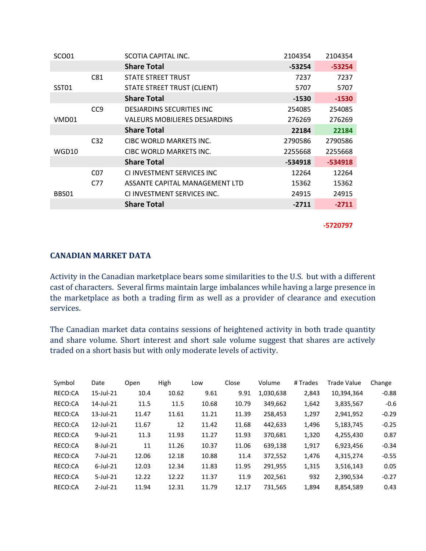| SCO <sub>01</sub> |                 | SCOTIA CAPITAL INC.                | 2104354 | 2104354   |
|-------------------|-----------------|------------------------------------|---------|-----------|
|                   |                 | <b>Share Total</b>                 | -53254  | $-53254$  |
|                   | C81             | STATE STREET TRUST                 | 7237    | 7237      |
| SST01             |                 | <b>STATE STREET TRUST (CLIENT)</b> | 5707    | 5707      |
|                   |                 | <b>Share Total</b>                 | $-1530$ | $-1530$   |
|                   | CC <sub>9</sub> | <b>DESIARDINS SECURITIES INC.</b>  | 254085  | 254085    |
| VMD01             |                 | VALEURS MOBILIERES DESJARDINS      | 276269  | 276269    |
|                   |                 | <b>Share Total</b>                 | 22184   | 22184     |
|                   | C <sub>32</sub> | CIBC WORLD MARKETS INC.            | 2790586 | 2790586   |
| WGD10             |                 | CIBC WORLD MARKETS INC.            | 2255668 | 2255668   |
|                   |                 | <b>Share Total</b>                 | -534918 | $-534918$ |
|                   | C <sub>07</sub> | CLINVESTMENT SERVICES INC          | 12264   | 12264     |
|                   | C77             | ASSANTE CAPITAL MANAGEMENT LTD     | 15362   | 15362     |
| BBS01             |                 | CLINVESTMENT SERVICES INC.         | 24915   | 24915     |
|                   |                 | <b>Share Total</b>                 | $-2711$ | $-2711$   |
|                   |                 |                                    |         |           |

**-5720797**

### **CANADIAN MARKET DATA**

Activity in the Canadian marketplace bears some similarities to the U.S. but with a different cast of characters. Several firms maintain large imbalances while having a large presence in the marketplace as both a trading firm as well as a provider of clearance and execution services.

The Canadian market data contains sessions of heightened activity in both trade quantity and share volume. Short interest and short sale volume suggest that shares are actively traded on a short basis but with only moderate levels of activity.

| Symbol  | Date            | Open  | High  | Low   | Close | Volume    | # Trades | <b>Trade Value</b> | Change  |
|---------|-----------------|-------|-------|-------|-------|-----------|----------|--------------------|---------|
| RECO:CA | $15$ -Jul- $21$ | 10.4  | 10.62 | 9.61  | 9.91  | 1,030,638 | 2,843    | 10,394,364         | $-0.88$ |
| RECO:CA | 14-Jul-21       | 11.5  | 11.5  | 10.68 | 10.79 | 349,662   | 1,642    | 3,835,567          | $-0.6$  |
| RECO:CA | $13$ -Jul- $21$ | 11.47 | 11.61 | 11.21 | 11.39 | 258,453   | 1,297    | 2,941,952          | $-0.29$ |
| RECO:CA | $12$ -Jul- $21$ | 11.67 | 12    | 11.42 | 11.68 | 442,633   | 1,496    | 5,183,745          | $-0.25$ |
| RECO:CA | $9$ -Jul-21     | 11.3  | 11.93 | 11.27 | 11.93 | 370,681   | 1,320    | 4,255,430          | 0.87    |
| RECO:CA | $8$ -Jul-21     | 11    | 11.26 | 10.37 | 11.06 | 639,138   | 1,917    | 6,923,456          | $-0.34$ |
| RECO:CA | 7-Jul-21        | 12.06 | 12.18 | 10.88 | 11.4  | 372,552   | 1,476    | 4,315,274          | $-0.55$ |
| RECO:CA | $6$ -Jul-21     | 12.03 | 12.34 | 11.83 | 11.95 | 291,955   | 1,315    | 3,516,143          | 0.05    |
| RECO:CA | $5$ -Jul-21     | 12.22 | 12.22 | 11.37 | 11.9  | 202,561   | 932      | 2,390,534          | $-0.27$ |
| RECO:CA | $2$ -Jul-21     | 11.94 | 12.31 | 11.79 | 12.17 | 731,565   | 1,894    | 8,854,589          | 0.43    |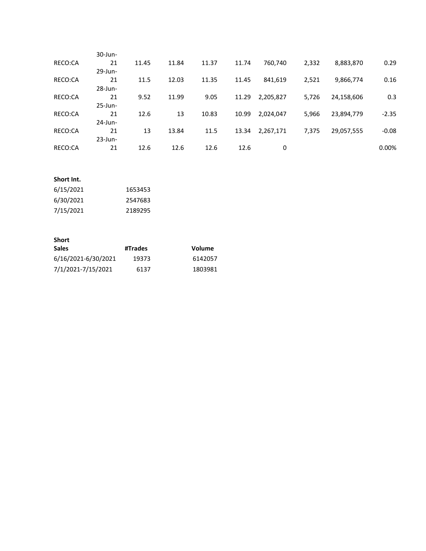|         | 30-Jun-    |       |       |       |       |           |       |            |          |
|---------|------------|-------|-------|-------|-------|-----------|-------|------------|----------|
| RECO:CA | 21         | 11.45 | 11.84 | 11.37 | 11.74 | 760,740   | 2,332 | 8,883,870  | 0.29     |
|         | 29-Jun-    |       |       |       |       |           |       |            |          |
| RECO:CA | 21         | 11.5  | 12.03 | 11.35 | 11.45 | 841,619   | 2,521 | 9,866,774  | 0.16     |
|         | $28$ -Jun- |       |       |       |       |           |       |            |          |
| RECO:CA | 21         | 9.52  | 11.99 | 9.05  | 11.29 | 2,205,827 | 5,726 | 24,158,606 | 0.3      |
|         | $25$ -Jun- |       |       |       |       |           |       |            |          |
| RECO:CA | 21         | 12.6  | 13    | 10.83 | 10.99 | 2,024,047 | 5,966 | 23,894,779 | $-2.35$  |
|         | $24$ -Jun- |       |       |       |       |           |       |            |          |
| RECO:CA | 21         | 13    | 13.84 | 11.5  | 13.34 | 2,267,171 | 7,375 | 29,057,555 | $-0.08$  |
|         | $23$ -Jun- |       |       |       |       |           |       |            |          |
| RECO:CA | 21         | 12.6  | 12.6  | 12.6  | 12.6  | 0         |       |            | $0.00\%$ |
|         |            |       |       |       |       |           |       |            |          |

#### **Short Int.**

| 6/15/2021 | 1653453 |
|-----------|---------|
| 6/30/2021 | 2547683 |
| 7/15/2021 | 2189295 |

#### **Short**

| <b>Sales</b>        | #Trades | Volume  |
|---------------------|---------|---------|
| 6/16/2021-6/30/2021 | 19373   | 6142057 |
| 7/1/2021-7/15/2021  | 6137    | 1803981 |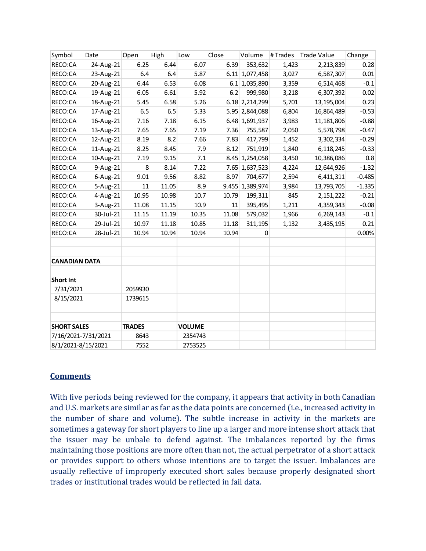| Symbol               | Date        | Open          | High  | Low           | Close  | Volume          | # Trades | <b>Trade Value</b> | Change   |
|----------------------|-------------|---------------|-------|---------------|--------|-----------------|----------|--------------------|----------|
| RECO:CA              | 24-Aug-21   | 6.25          | 6.44  | 6.07          | 6.39   | 353,632         | 1,423    | 2,213,839          | 0.28     |
| RECO:CA              | 23-Aug-21   | 6.4           | 6.4   | 5.87          |        | 6.11 1,077,458  | 3,027    | 6,587,307          | 0.01     |
| RECO:CA              | 20-Aug-21   | 6.44          | 6.53  | 6.08          |        | 6.1 1,035,890   | 3,359    | 6,514,468          | $-0.1$   |
| RECO:CA              | 19-Aug-21   | 6.05          | 6.61  | 5.92          | 6.2    | 999,980         | 3,218    | 6,307,392          | 0.02     |
| RECO:CA              | 18-Aug-21   | 5.45          | 6.58  | 5.26          |        | 6.18 2,214,299  | 5,701    | 13,195,004         | 0.23     |
| RECO:CA              | 17-Aug-21   | 6.5           | 6.5   | 5.33          |        | 5.95 2,844,088  | 6,804    | 16,864,489         | $-0.53$  |
| RECO:CA              | 16-Aug-21   | 7.16          | 7.18  | 6.15          |        | 6.48 1,691,937  | 3,983    | 11,181,806         | $-0.88$  |
| RECO:CA              | 13-Aug-21   | 7.65          | 7.65  | 7.19          | 7.36   | 755,587         | 2,050    | 5,578,798          | $-0.47$  |
| RECO:CA              | 12-Aug-21   | 8.19          | 8.2   | 7.66          | 7.83   | 417,799         | 1,452    | 3,302,334          | $-0.29$  |
| RECO:CA              | 11-Aug-21   | 8.25          | 8.45  | 7.9           | 8.12   | 751,919         | 1,840    | 6,118,245          | $-0.33$  |
| RECO:CA              | 10-Aug-21   | 7.19          | 9.15  | 7.1           |        | 8.45 1,254,058  | 3,450    | 10,386,086         | 0.8      |
| RECO:CA              | 9-Aug-21    | 8             | 8.14  | 7.22          |        | 7.65 1,637,523  | 4,224    | 12,644,926         | $-1.32$  |
| RECO:CA              | $6$ -Aug-21 | 9.01          | 9.56  | 8.82          | 8.97   | 704,677         | 2,594    | 6,411,311          | $-0.485$ |
| RECO:CA              | 5-Aug-21    | 11            | 11.05 | 8.9           |        | 9.455 1,389,974 | 3,984    | 13,793,705         | $-1.335$ |
| RECO:CA              | 4-Aug-21    | 10.95         | 10.98 | 10.7          | 10.79  | 199,311         | 845      | 2,151,222          | $-0.21$  |
| RECO:CA              | 3-Aug-21    | 11.08         | 11.15 | 10.9          | $11\,$ | 395,495         | 1,211    | 4,359,343          | $-0.08$  |
| RECO:CA              | 30-Jul-21   | 11.15         | 11.19 | 10.35         | 11.08  | 579,032         | 1,966    | 6,269,143          | $-0.1$   |
| RECO:CA              | 29-Jul-21   | 10.97         | 11.18 | 10.85         | 11.18  | 311,195         | 1,132    | 3,435,195          | 0.21     |
| RECO:CA              | 28-Jul-21   | 10.94         | 10.94 | 10.94         | 10.94  | 0               |          |                    | 0.00%    |
|                      |             |               |       |               |        |                 |          |                    |          |
|                      |             |               |       |               |        |                 |          |                    |          |
| <b>CANADIAN DATA</b> |             |               |       |               |        |                 |          |                    |          |
|                      |             |               |       |               |        |                 |          |                    |          |
| <b>Short Int</b>     |             |               |       |               |        |                 |          |                    |          |
| 7/31/2021            |             | 2059930       |       |               |        |                 |          |                    |          |
| 8/15/2021            |             | 1739615       |       |               |        |                 |          |                    |          |
|                      |             |               |       |               |        |                 |          |                    |          |
|                      |             |               |       |               |        |                 |          |                    |          |
| <b>SHORT SALES</b>   |             | <b>TRADES</b> |       | <b>VOLUME</b> |        |                 |          |                    |          |
| 7/16/2021-7/31/2021  |             | 8643          |       | 2354743       |        |                 |          |                    |          |
| 8/1/2021-8/15/2021   |             | 7552          |       | 2753525       |        |                 |          |                    |          |

### **Comments**

With five periods being reviewed for the company, it appears that activity in both Canadian and U.S. markets are similar as far as the data points are concerned (i.e., increased activity in the number of share and volume). The subtle increase in activity in the markets are sometimes a gateway for short players to line up a larger and more intense short attack that the issuer may be unbale to defend against. The imbalances reported by the firms maintaining those positions are more often than not, the actual perpetrator of a short attack or provides support to others whose intentions are to target the issuer. Imbalances are usually reflective of improperly executed short sales because properly designated short trades or institutional trades would be reflected in fail data.